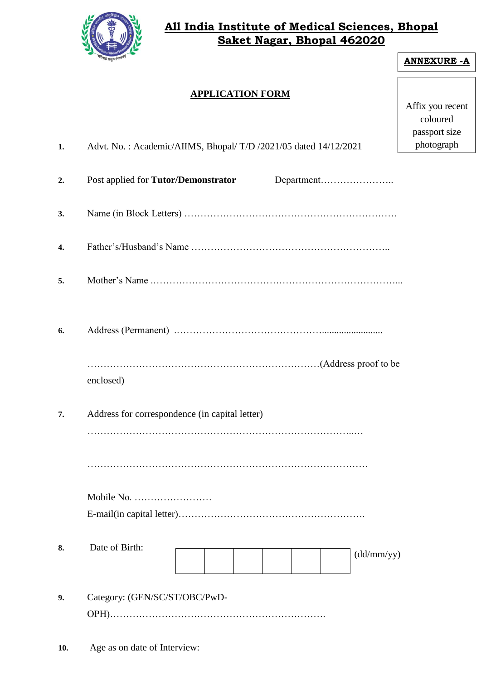

## **All India Institute of Medical Sciences, Bhopal Saket Nagar, Bhopal 462020**

| <b>APPLICATION FORM</b><br>Advt. No.: Academic/AIIMS, Bhopal/T/D /2021/05 dated 14/12/2021<br>Department<br>Post applied for Tutor/Demonstrator | Affix you recent<br>coloured<br>passport size<br>photograph |
|-------------------------------------------------------------------------------------------------------------------------------------------------|-------------------------------------------------------------|
|                                                                                                                                                 |                                                             |
|                                                                                                                                                 |                                                             |
|                                                                                                                                                 |                                                             |
|                                                                                                                                                 |                                                             |
|                                                                                                                                                 |                                                             |
|                                                                                                                                                 |                                                             |
|                                                                                                                                                 |                                                             |
| enclosed)                                                                                                                                       |                                                             |
| Address for correspondence (in capital letter)                                                                                                  |                                                             |
|                                                                                                                                                 |                                                             |
|                                                                                                                                                 |                                                             |
|                                                                                                                                                 |                                                             |
|                                                                                                                                                 |                                                             |
| Date of Birth:<br>(dd/mm/yy)                                                                                                                    |                                                             |
|                                                                                                                                                 |                                                             |
| Category: (GEN/SC/ST/OBC/PwD-                                                                                                                   |                                                             |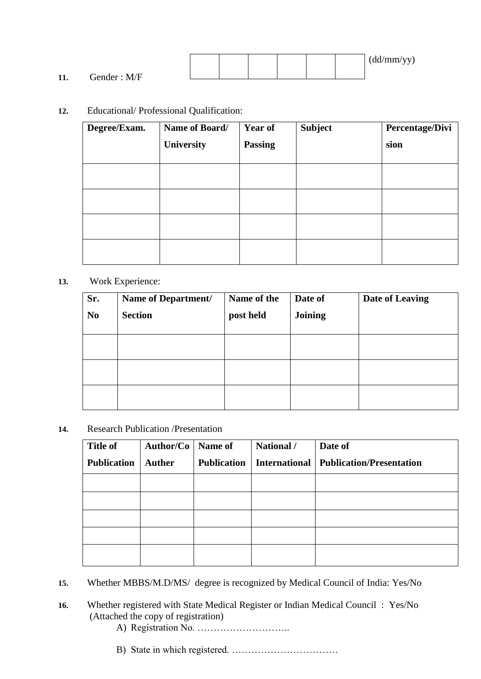|           |              |  |  |  | 111<br>(dd/mm/yy) |
|-----------|--------------|--|--|--|-------------------|
| 11<br>11. | Gender : M/F |  |  |  |                   |

## **12.** Educational/ Professional Qualification:

| Degree/Exam. | Name of Board/<br>University | <b>Year of</b><br><b>Passing</b> | <b>Subject</b> | Percentage/Divi<br>sion |
|--------------|------------------------------|----------------------------------|----------------|-------------------------|
|              |                              |                                  |                |                         |
|              |                              |                                  |                |                         |
|              |                              |                                  |                |                         |
|              |                              |                                  |                |                         |

## **13.** Work Experience:

| Sr.<br>N <sub>0</sub> | Name of Department/<br><b>Section</b> | Name of the<br>post held | Date of<br>Joining | Date of Leaving |
|-----------------------|---------------------------------------|--------------------------|--------------------|-----------------|
|                       |                                       |                          |                    |                 |
|                       |                                       |                          |                    |                 |
|                       |                                       |                          |                    |                 |

**14.** Research Publication /Presentation

| <b>Title of</b>    | Author/Co   Name of |                    | National /           | Date of                         |
|--------------------|---------------------|--------------------|----------------------|---------------------------------|
| <b>Publication</b> | <b>Auther</b>       | <b>Publication</b> | <b>International</b> | <b>Publication/Presentation</b> |
|                    |                     |                    |                      |                                 |
|                    |                     |                    |                      |                                 |
|                    |                     |                    |                      |                                 |
|                    |                     |                    |                      |                                 |
|                    |                     |                    |                      |                                 |

- **15.** Whether MBBS/M.D/MS/ degree is recognized by Medical Council of India: Yes/No
- **16.** Whether registered with State Medical Register or Indian Medical Council : Yes/No (Attached the copy of registration)
	- A) Registration No. ………………………..
	- B) State in which registered. ……………………………